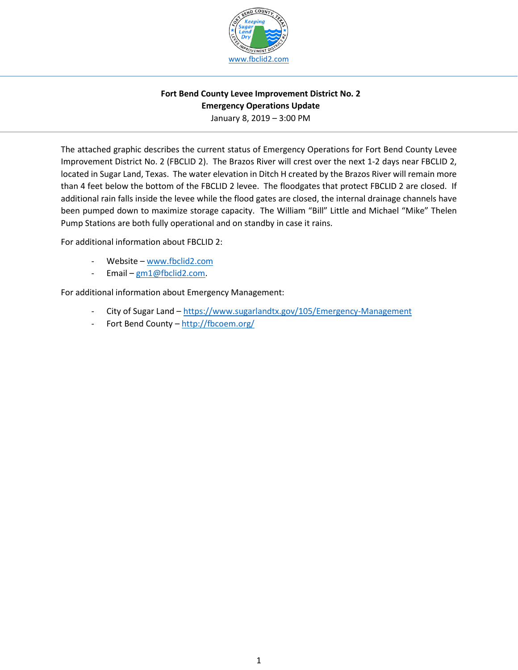

## **Fort Bend County Levee Improvement District No. 2 Emergency Operations Update**  January 8, 2019 – 3:00 PM

The attached graphic describes the current status of Emergency Operations for Fort Bend County Levee Improvement District No. 2 (FBCLID 2). The Brazos River will crest over the next 1-2 days near FBCLID 2, located in Sugar Land, Texas. The water elevation in Ditch H created by the Brazos River will remain more than 4 feet below the bottom of the FBCLID 2 levee. The floodgates that protect FBCLID 2 are closed. If additional rain falls inside the levee while the flood gates are closed, the internal drainage channels have been pumped down to maximize storage capacity. The William "Bill" Little and Michael "Mike" Thelen Pump Stations are both fully operational and on standby in case it rains.

For additional information about FBCLID 2:

- Website [www.fbclid2.com](http://www.fbclid2.com/)
- Email [gm1@fbclid2.com.](mailto:gm1@fbclid2.com)

For additional information about Emergency Management:

- City of Sugar Land <https://www.sugarlandtx.gov/105/Emergency-Management>
- Fort Bend County <http://fbcoem.org/>